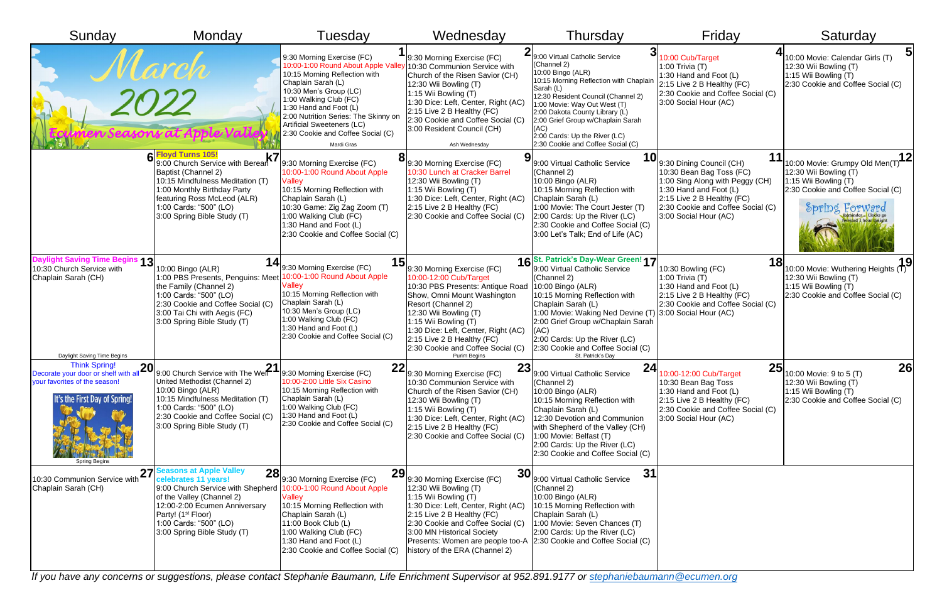| Sunday                                                                                                                                                              | Monday                                                                                                                                                                                                                                                             | Tuesday                                                                                                                                                                                                                                                                                                                                                             | Wednesday                                                                                                                                                                                                                                                                                                                                                             | Thursday                                                                                                                                                                                                                                                                                                                                              | Friday                                                                                                                                                                                                        | Saturday                                                                                                                                                         |
|---------------------------------------------------------------------------------------------------------------------------------------------------------------------|--------------------------------------------------------------------------------------------------------------------------------------------------------------------------------------------------------------------------------------------------------------------|---------------------------------------------------------------------------------------------------------------------------------------------------------------------------------------------------------------------------------------------------------------------------------------------------------------------------------------------------------------------|-----------------------------------------------------------------------------------------------------------------------------------------------------------------------------------------------------------------------------------------------------------------------------------------------------------------------------------------------------------------------|-------------------------------------------------------------------------------------------------------------------------------------------------------------------------------------------------------------------------------------------------------------------------------------------------------------------------------------------------------|---------------------------------------------------------------------------------------------------------------------------------------------------------------------------------------------------------------|------------------------------------------------------------------------------------------------------------------------------------------------------------------|
| <i>2022</i>                                                                                                                                                         |                                                                                                                                                                                                                                                                    | 9:30 Morning Exercise (FC)<br>10:00-1:00 Round About Apple Valley 10:30 Communion Service with<br>10:15 Morning Reflection with<br>Chaplain Sarah (L)<br>10:30 Men's Group (LC)<br>1:00 Walking Club (FC)<br>1:30 Hand and Foot (L)<br>2:00 Nutrition Series: The Skinny on<br><b>Artificial Sweeteners (LC)</b><br>2:30 Cookie and Coffee Social (C)<br>Mardi Gras | 9:30 Morning Exercise (FC)<br>Church of the Risen Savior (CH)<br>12:30 Wii Bowling (T)<br>1:15 Wii Bowling (T)<br>1:30 Dice: Left, Center, Right (AC)<br>2:15 Live 2 B Healthy (FC)<br>2:30 Cookie and Coffee Social (C)<br>3:00 Resident Council (CH)<br>Ash Wednesday                                                                                               | 2 9:00 Virtual Catholic Service<br>(Channel 2)<br>10:00 Bingo (ALR)<br>10:15 Morning Reflection with Chaplain<br>Sarah (L)<br>12:30 Resident Council (Channel 2)<br>1:00 Movie: Way Out West (T)<br>2:00 Dakota County Library (L)<br>2:00 Grief Group w/Chaplain Sarah<br>(AC)<br>2:00 Cards: Up the River (LC)<br>2:30 Cookie and Coffee Social (C) | 10:00 Cub/Target<br>1:00 Trivia $(T)$<br>1:30 Hand and Foot (L)<br>2:15 Live 2 B Healthy (FC)<br>2:30 Cookie and Coffee Social (C)<br>3:00 Social Hour (AC)                                                   | 10:00 Movie: Calendar Girls (T)<br>12:30 Wii Bowling (T)<br>1:15 Wii Bowling (T)<br>2:30 Cookie and Coffee Social (C)                                            |
|                                                                                                                                                                     | 6 Floyd Turns 105!<br><b>Floyd Turns 105!</b><br>9:00 Church Service with Berean<br>Baptist (Channel 2)<br>10:15 Mindfulness Meditation (T)<br>1:00 Monthly Birthday Party<br>featuring Ross McLeod (ALR)<br>1:00 Cards: "500" (LO)<br>3:00 Spring Bible Study (T) | 9:30 Morning Exercise (FC)<br>10:00-1:00 Round About Apple<br>Valley<br>10:15 Morning Reflection with<br>Chaplain Sarah (L)<br>10:30 Game: Zig Zag Zoom (T)<br>1:00 Walking Club (FC)<br>1:30 Hand and Foot (L)<br>2:30 Cookie and Coffee Social (C)                                                                                                                | $\mathbf{d} _{9:30}$ Morning Exercise (FC)<br>10:30 Lunch at Cracker Barrel<br>$12:30$ Wii Bowling $(T)$<br>1:15 Wii Bowling $(T)$<br>1:30 Dice: Left, Center, Right (AC)<br>2:15 Live 2 B Healthy (FC)<br>2:30 Cookie and Coffee Social (C)                                                                                                                          | <b>10</b><br>9:00 Virtual Catholic Service<br>(Channel 2)<br>10:00 Bingo (ALR)<br>10:15 Morning Reflection with<br>Chaplain Sarah (L)<br>1:00 Movie: The Court Jester (T)<br>2:00 Cards: Up the River (LC)<br>2:30 Cookie and Coffee Social (C)<br>3:00 Let's Talk; End of Life (AC)                                                                  | 9:30 Dining Council (CH)<br>10:30 Bean Bag Toss (FC)<br>1:00 Sing Along with Peggy (CH)<br>1:30 Hand and Foot (L)<br>2:15 Live 2 B Healthy (FC)<br>2:30 Cookie and Coffee Social (C)<br>3:00 Social Hour (AC) | 12<br>10:00 Movie: Grumpy Old Men(T)<br>12:30 Wii Bowling (T)<br>1:15 Wii Bowling (T)<br>2:30 Cookie and Coffee Social (C)<br>Spring Forward                     |
| Daylight Saving Time Begins 13<br>10:30 Church Service with<br>Chaplain Sarah (CH)<br>Daylight Saving Time Begins                                                   | 10:00 Bingo (ALR)<br>1:00 PBS Presents, Penguins: Meet<br>the Family (Channel 2)<br>1:00 Cards: "500" (LO)<br>2:30 Cookie and Coffee Social (C)<br>3:00 Tai Chi with Aegis (FC)<br>3:00 Spring Bible Study (T)                                                     | $\left\langle \mathbf{14}\right _{9:30}$ Morning Exercise (FC)<br>10:00-1:00 Round About Apple<br><b>Valley</b><br>10:15 Morning Reflection with<br>Chaplain Sarah (L)<br>10:30 Men's Group (LC)<br>1:00 Walking Club (FC)<br>1:30 Hand and Foot (L)<br>2:30 Cookie and Coffee Social (C)                                                                           | $\left\langle \mathbf{15}\right _{\mathrm{9:30}}$ Morning Exercise (FC)<br>10:00-12:00 Cub/Target<br>10:30 PBS Presents: Antique Road<br>Show, Omni Mount Washington<br>Resort (Channel 2)<br>12:30 Wii Bowling (T)<br>1:15 Wii Bowling (T)<br>1:30 Dice: Left, Center, Right (AC)<br>2:15 Live 2 B Healthy (FC)<br>2:30 Cookie and Coffee Social (C)<br>Purim Begins | 16St. Patrick's Day-Wear Green! 17<br>9:00 Virtual Catholic Service<br>(Channel 2)<br>10:00 Bingo (ALR)<br>10:15 Morning Reflection with<br>Chaplain Sarah (L)<br>1:00 Movie: Waking Ned Devine (T)<br>2:00 Grief Group w/Chaplain Sarah<br>(AC)<br>2:00 Cards: Up the River (LC)<br>2:30 Cookie and Coffee Social (C)<br>St. Patrick's Day           | 10:30 Bowling (FC)<br>1:00 Trivia $(T)$<br>1:30 Hand and Foot (L)<br>2:15 Live 2 B Healthy (FC)<br>2:30 Cookie and Coffee Social (C)<br>3:00 Social Hour (AC)                                                 | $\frac{1}{10:00}$ Movie: Wuthering Heights $\left(\overline{1}\right)^{9}$<br>12:30 Wii Bowling (T)<br>1:15 Wii Bowling (T)<br>2:30 Cookie and Coffee Social (C) |
| <b>Think Spring!</b><br><b>20</b><br>Decorate your door or shelf with all<br>your favorites of the season!<br>It's the First Day of Spring!<br><b>Spring Begins</b> | 21<br>9:00 Church Service with The Well<br>United Methodist (Channel 2)<br>10:00 Bingo (ALR)<br>10:15 Mindfulness Meditation (T)<br>1:00 Cards: "500" (LO)<br>2:30 Cookie and Coffee Social (C)<br>3:00 Spring Bible Study (T)                                     | 22<br>9:30 Morning Exercise (FC)<br>10:00-2:00 Little Six Casino<br>10:15 Morning Reflection with<br>Chaplain Sarah (L)<br>1:00 Walking Club (FC)<br>1:30 Hand and Foot (L)<br>2:30 Cookie and Coffee Social (C)                                                                                                                                                    | 23<br>9:30 Morning Exercise (FC)<br>10:30 Communion Service with<br>Church of the Risen Savior (CH)<br>$12:30$ Wii Bowling $(T)$<br>1:15 Wii Bowling $(T)$<br>1:30 Dice: Left, Center, Right (AC)<br>$2:15$ Live 2 B Healthy (FC)<br>2:30 Cookie and Coffee Social (C)                                                                                                | 24<br>9:00 Virtual Catholic Service<br>(Channel 2)<br>10:00 Bingo (ALR)<br>10:15 Morning Reflection with<br>Chaplain Sarah (L)<br>12:30 Devotion and Communion<br>with Shepherd of the Valley (CH)<br>1:00 Movie: Belfast (T)<br>2:00 Cards: Up the River (LC)<br>2:30 Cookie and Coffee Social (C)                                                   | 25<br>10:00-12:00 Cub/Target<br>10:30 Bean Bag Toss<br>1:30 Hand and Foot (L)<br>2:15 Live 2 B Healthy (FC)<br>2:30 Cookie and Coffee Social (C)<br>3:00 Social Hour (AC)                                     | 26<br>10:00 Movie: 9 to 5 (T)<br>12:30 Wii Bowling (T)<br>1:15 Wii Bowling (T)<br>2:30 Cookie and Coffee Social (C)                                              |
| $27^{\circ}$<br>10:30 Communion Service with<br>Chaplain Sarah (CH)                                                                                                 | asons at Apple Valley<br>28<br>celebrates 11 years!<br>9:00 Church Service with Shepherd<br>of the Valley (Channel 2)<br>12:00-2:00 Ecumen Anniversary<br>Party! (1 <sup>st</sup> Floor)<br>1:00 Cards: "500" (LO)<br>3:00 Spring Bible Study (T)                  | 29<br>9:30 Morning Exercise (FC)<br>10:00-1:00 Round About Apple<br><b>Valley</b><br>10:15 Morning Reflection with<br>Chaplain Sarah (L)<br>$11:00$ Book Club (L)<br>1:00 Walking Club (FC)<br>1:30 Hand and Foot (L)<br>2:30 Cookie and Coffee Social (C)                                                                                                          | 30<br>9:30 Morning Exercise (FC)<br>$12:30$ Wii Bowling $(T)$<br>1:15 Wii Bowling $(T)$<br>1:30 Dice: Left, Center, Right (AC)<br>2:15 Live 2 B Healthy (FC)<br>2:30 Cookie and Coffee Social (C)<br>3:00 MN Historical Society<br>Presents: Women are people too-A 2:30 Cookie and Coffee Social (C)<br>history of the ERA (Channel 2)                               | 31<br>9:00 Virtual Catholic Service<br>(Channel 2)<br>10:00 Bingo (ALR)<br>10:15 Morning Reflection with<br>Chaplain Sarah (L)<br>1:00 Movie: Seven Chances (T)<br>2:00 Cards: Up the River (LC)                                                                                                                                                      |                                                                                                                                                                                                               |                                                                                                                                                                  |

*If you have any concerns or suggestions, please contact Stephanie Baumann, Life Enrichment Supervisor at 952.891.9177 or [stephaniebaumann@ecumen.org](mailto:stephaniebaumann@ecumen.org)*